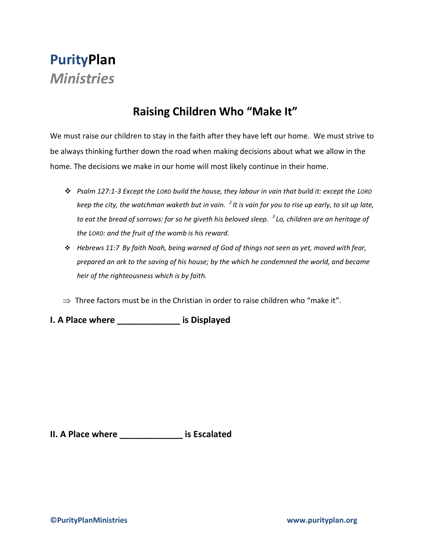## **PurityPlan** *Ministries*

## **Raising Children Who "Make It"**

We must raise our children to stay in the faith after they have left our home. We must strive to be always thinking further down the road when making decisions about what we allow in the home. The decisions we make in our home will most likely continue in their home.

- *Psalm 127:1-3 Except the LORD build the house, they labour in vain that build it: except the LORD keep the city, the watchman waketh but in vain. <sup>2</sup> It is vain for you to rise up early, to sit up late, to eat the bread of sorrows: for so he giveth his beloved sleep. <sup>3</sup> Lo, children are an heritage of the LORD: and the fruit of the womb is his reward.*
- *Hebrews 11:7 By faith Noah, being warned of God of things not seen as yet, moved with fear, prepared an ark to the saving of his house; by the which he condemned the world, and became heir of the righteousness which is by faith.*
- $\Rightarrow$  Three factors must be in the Christian in order to raise children who "make it".

**I. A Place where \_\_\_\_\_\_\_\_\_\_\_\_\_ is Displayed**

**II. A Place where \_\_\_\_\_\_\_\_\_\_\_\_\_ is Escalated**